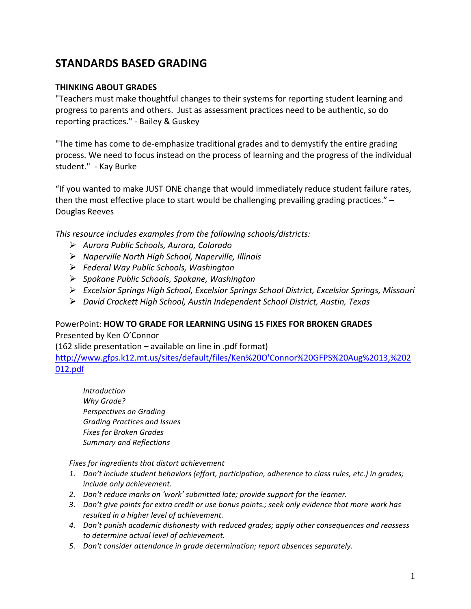# **STANDARDS'BASED'GRADING**

### **THINKING ABOUT GRADES**

"Teachers must make thoughtful changes to their systems for reporting student learning and progress to parents and others. Just as assessment practices need to be authentic, so do reporting practices." - Bailey & Guskey

"The time has come to de-emphasize traditional grades and to demystify the entire grading process. We need to focus instead on the process of learning and the progress of the individual student." - Kay Burke

"If you wanted to make JUST ONE change that would immediately reduce student failure rates, then the most effective place to start would be challenging prevailing grading practices."  $-$ Douglas Reeves

*This resource includes examples from the following schools/districts:* 

- *Aurora%Public Schools,%Aurora,%Colorado*
- *Naperville%North%High%School,%Naperville,%Illinois*
- *Federal%Way%Public%Schools,%Washington%%*
- *Spokane%Public%Schools,%Spokane,%Washington*
- *Excelsior%Springs%High%School,%Excelsior%Springs%School%District,%Excelsior%Springs,%Missouri*
- *David%Crockett%High%School,%Austin%Independent%School%District,%Austin,%Texas%*

#### PowerPoint:!**HOW'TO'GRADE'FOR'LEARNING'USING'15'FIXES'FOR'BROKEN'GRADES**

Presented by Ken O'Connor

(162 slide presentation – available on line in .pdf format)

http://www.gfps.k12.mt.us/sites/default/files/Ken%20O'Connor%20GFPS%20Aug%2013,%202 012.pdf

*Introduction* **Why Grade? Perspectives on Grading** *Grading%Practices%and%Issues* **Fixes for Broken Grades Summary and Reflections** 

Fixes for ingredients that distort achievement

- 1. *Don't include student behaviors (effort, participation, adherence to class rules, etc.) in grades; include%only%achievement.*
- 2. *Don't reduce marks on 'work' submitted late; provide support for the learner.*
- 3. Don't give points for extra credit or use bonus points.; seek only evidence that more work has *resulted in a higher level of achievement.*
- *4. Don't%punish%academic%dishonesty%with%reduced%grades; apply%other%consequences%and%reassess% to%determine%actual%level%of%achievement.*
- 5. Don't consider attendance in grade determination; report absences separately.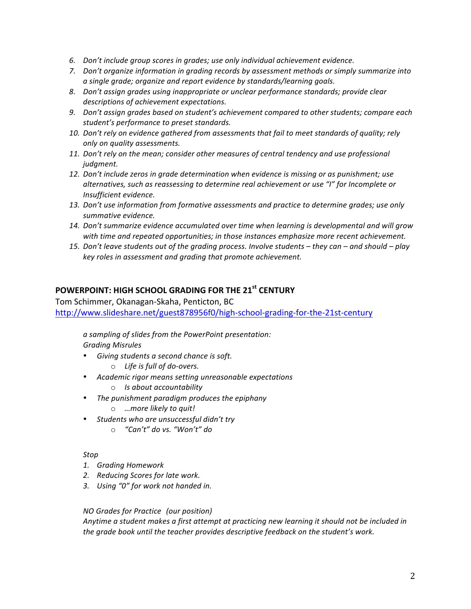- *6. Don't%include%group%scores%in%grades;%use%only%individual%achievement%evidence.%*
- 7. *Don't organize information in grading records by assessment methods or simply summarize into a%single%grade;%organize%and%report%evidence%by%standards/learning%goals.*
- 8. Don't assign grades using inappropriate or unclear performance standards; provide clear descriptions of achievement expectations.
- 9. *Don't assign grades based on student's achievement compared to other students; compare each* student's performance to preset standards.
- 10. Don't rely on evidence gathered from assessments that fail to meet standards of quality; rely *only%on%quality%assessments.%*
- 11. Don't rely on the mean; consider other measures of central tendency and use professional *judgment.*
- 12. Don't include zeros in grade determination when evidence is missing or as punishment; use alternatives, such as reassessing to determine real achievement or use "I" for Incomplete or *Insufficient%evidence.*
- 13. Don't use information from formative assessments and practice to determine grades; use only summative evidence.
- 14. Don't summarize evidence accumulated over time when learning is developmental and will grow with time and repeated opportunities; in those instances emphasize more recent achievement.
- *15. Don't%leave%students%out%of%the%grading%process.%Involve%students%– they%can%– and%should%– play% key%roles%in%assessment%and%grading%that%promote%achievement.%*

### **POWERPOINT: HIGH SCHOOL GRADING FOR THE 21st CENTURY**

Tom Schimmer, Okanagan-Skaha, Penticton, BC

http://www.slideshare.net/guest878956f0/high-school-grading-for-the-21st-century

*a%sampling%of%slides%from%the%PowerPoint%presentation: Grading%Misrules*

- Giving students a second chance is soft.
	- $\circ$  *Life is full of do-overs.*
- *Academic%rigor%means%setting%unreasonable%expectations*
	- o *Is%about%accountability*
- The punishment paradigm produces the epiphany
	- *…more likely to quit!*
- Students who are unsuccessful didn't try
	- o *"Can't"%do%vs.%"Won't"%do*

#### *Stop*

- *1. Grading%Homework*
- **2.** Reducing Scores for late work.
- 3. Using "0" for work not handed in.

#### *NO Grades for Practice (our position)*

Anytime a student makes a first attempt at practicing new learning it should not be included in the grade book until the teacher provides descriptive feedback on the student's work.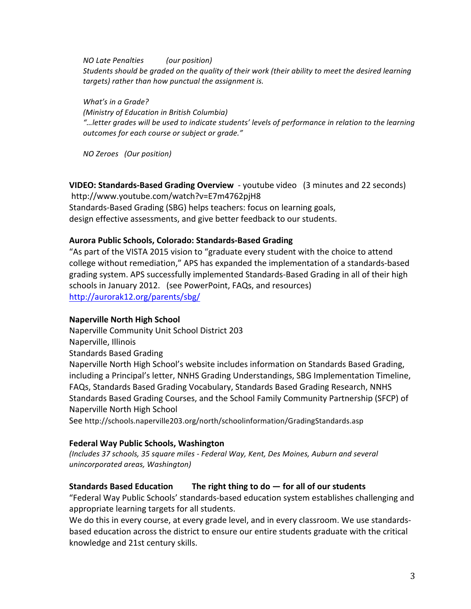*NO Late Penalties (our position)* Students should be graded on the quality of their work (their ability to meet the desired learning targets) rather than how punctual the assignment is.

*What's in a Grade? (Ministry of Education in British Columbia) "…letter%grades%will%be%used%to%indicate%students'%levels%of%performance%in%relation%to%the%learning%* outcomes for each course or subject or grade."

*NO%Zeroes%%%(Our%position)*

**VIDEO: Standards-Based Grading Overview** - youtube video (3 minutes and 22 seconds) http://www.youtube.com/watch?v=E7m4762pjH8 Standards-Based Grading (SBG) helps teachers: focus on learning goals, design effective assessments, and give better feedback to our students.

#### Aurora Public Schools, Colorado: Standards-Based Grading

"As part of the VISTA 2015 vision to "graduate every student with the choice to attend college without remediation," APS has expanded the implementation of a standards-based grading system. APS successfully implemented Standards-Based Grading in all of their high schools in January 2012. (see PowerPoint, FAQs, and resources) http://aurorak12.org/parents/sbg/

#### **Naperville North High School**

Naperville Community Unit School District 203

Naperville, Illinois

Standards Based Grading

Naperville North High School's website includes information on Standards Based Grading, including a Principal's letter, NNHS Grading Understandings, SBG Implementation Timeline, FAQs, Standards Based Grading Vocabulary, Standards Based Grading Research, NNHS Standards Based Grading Courses, and the School Family Community Partnership (SFCP) of Naperville North High School

See http://schools.naperville203.org/north/schoolinformation/GradingStandards.asp

#### **Federal'Way'Public'Schools,'Washington**

*(Includes%37%schools,%35%square%miles%e Federal%Way,%Kent,%Des%Moines,%Auburn%and%several%*  $unincorporated~areas, Washington)$ 

## **Standards Based Education The right thing to do — for all of our students**

"Federal Way Public Schools' standards-based education system establishes challenging and appropriate learning targets for all students.

We do this in every course, at every grade level, and in every classroom. We use standardsbased education across the district to ensure our entire students graduate with the critical knowledge and 21st century skills.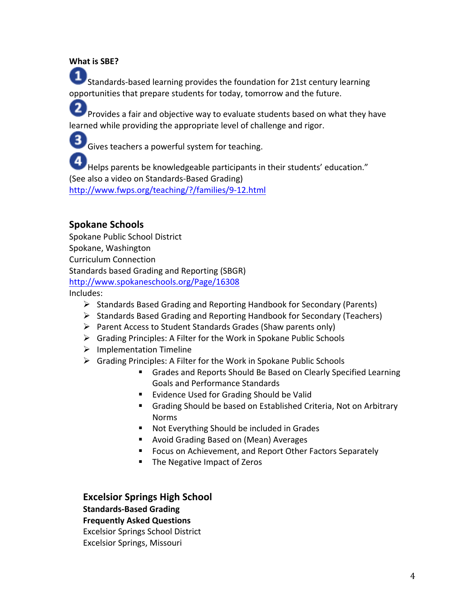## What is SBF?

Standards-based learning provides the foundation for 21st century learning opportunities that prepare students for today, tomorrow and the future.

Provides a fair and objective way to evaluate students based on what they have learned while providing the appropriate level of challenge and rigor.

**3** Gives teachers a powerful system for teaching.

Helps parents be knowledgeable participants in their students' education." (See also a video on Standards-Based Grading) http://www.fwps.org/teaching/?/families/9-12.html

# **Spokane Schools**

Spokane Public School District Spokane, Washington Curriculum!Connection Standards based Grading and Reporting (SBGR) http://www.spokaneschools.org/Page/16308 Includes:

- $\triangleright$  Standards Based Grading and Reporting Handbook for Secondary (Parents)
- $\triangleright$  Standards Based Grading and Reporting Handbook for Secondary (Teachers)
- $\triangleright$  Parent Access to Student Standards Grades (Shaw parents only)
- $\triangleright$  Grading Principles: A Filter for the Work in Spokane Public Schools
- $\triangleright$  Implementation Timeline
- $\triangleright$  Grading Principles: A Filter for the Work in Spokane Public Schools
	- Grades and Reports Should Be Based on Clearly Specified Learning Goals and Performance Standards
	- Evidence Used for Grading Should be Valid
	- Grading Should be based on Established Criteria, Not on Arbitrary Norms
	- Not Everything Should be included in Grades
	- **Avoid Grading Based on (Mean) Averages**
	- **Focus on Achievement, and Report Other Factors Separately**
	- The Negative Impact of Zeros

**Excelsior Springs High School Standards-Based Grading Frequently'Asked'Questions'**

**Excelsior Springs School District** Excelsior Springs, Missouri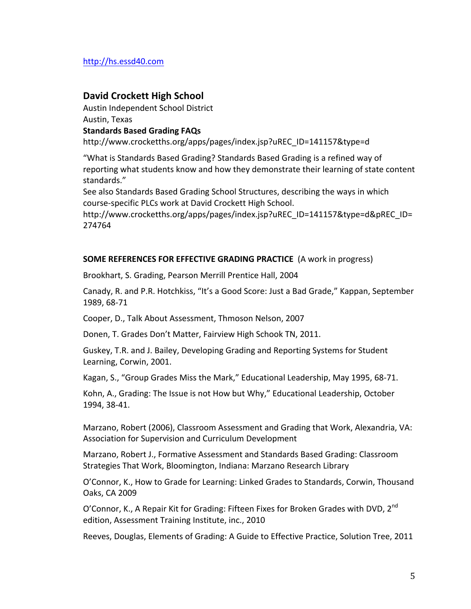## http://hs.essd40.com

## **David Crockett High School**

Austin Independent School District Austin, Texas **Standards'Based'Grading'FAQs**

http://www.crocketths.org/apps/pages/index.jsp?uREC\_ID=141157&type=d

"What is Standards Based Grading? Standards Based Grading is a refined way of reporting what students know and how they demonstrate their learning of state content standards."

See also Standards Based Grading School Structures, describing the ways in which course-specific PLCs work at David Crockett High School.

http://www.crocketths.org/apps/pages/index.jsp?uREC\_ID=141157&type=d&pREC\_ID= 274764

#### **SOME REFERENCES FOR EFFECTIVE GRADING PRACTICE** (A work in progress)

Brookhart, S. Grading, Pearson Merrill Prentice Hall, 2004

Canady, R. and P.R. Hotchkiss, "It's a Good Score: Just a Bad Grade," Kappan, September 1989, 68-71

Cooper, D., Talk About Assessment, Thmoson Nelson, 2007

Donen, T. Grades Don't Matter, Fairview High Schook TN, 2011.

Guskey, T.R. and J. Bailey, Developing Grading and Reporting Systems for Student Learning, Corwin, 2001.

Kagan, S., "Group Grades Miss the Mark," Educational Leadership, May 1995, 68-71.

Kohn, A., Grading: The Issue is not How but Why," Educational Leadership, October 1994, 38-41.

Marzano, Robert (2006), Classroom Assessment and Grading that Work, Alexandria, VA: Association for Supervision and Curriculum Development

Marzano, Robert J., Formative Assessment and Standards Based Grading: Classroom Strategies That Work, Bloomington, Indiana: Marzano Research Library

O'Connor, K., How to Grade for Learning: Linked Grades to Standards, Corwin, Thousand Oaks, CA 2009

O'Connor, K., A Repair Kit for Grading: Fifteen Fixes for Broken Grades with DVD, 2<sup>nd</sup> edition, Assessment Training Institute, inc., 2010

Reeves, Douglas, Elements of Grading: A Guide to Effective Practice, Solution Tree, 2011